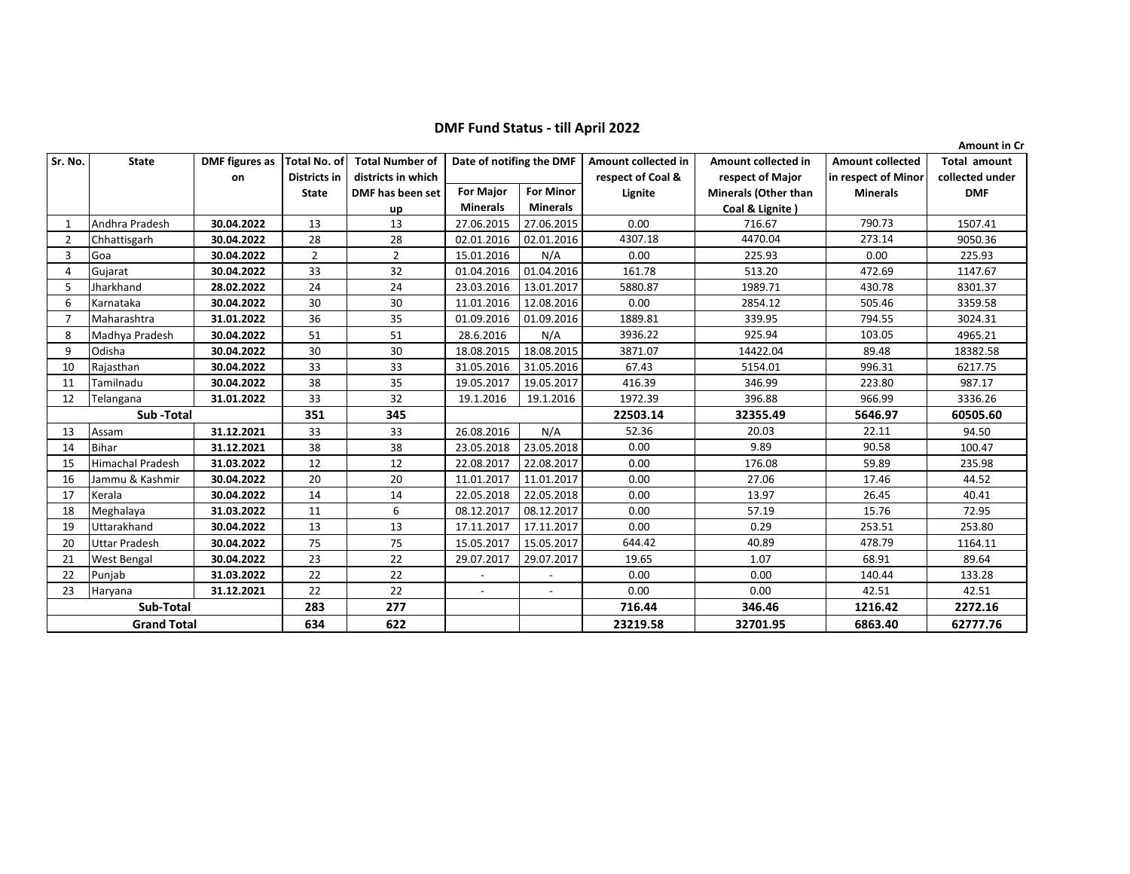**DMF Fund Status - till April 2022**

|                    |                      |                       |                     |                        |                          |                  |                     |                             |                         | <b>Amount in Cr</b> |
|--------------------|----------------------|-----------------------|---------------------|------------------------|--------------------------|------------------|---------------------|-----------------------------|-------------------------|---------------------|
| Sr. No.            | <b>State</b>         | <b>DMF</b> figures as | <b>Total No. of</b> | <b>Total Number of</b> | Date of notifing the DMF |                  | Amount collected in | Amount collected in         | <b>Amount collected</b> | <b>Total amount</b> |
|                    |                      | on                    | Districts in        | districts in which     |                          |                  | respect of Coal &   | respect of Major            | in respect of Minor     | collected under     |
|                    |                      |                       | <b>State</b>        | DMF has been set       | <b>For Major</b>         | <b>For Minor</b> | Lignite             | <b>Minerals (Other than</b> | <b>Minerals</b>         | <b>DMF</b>          |
|                    |                      |                       |                     | up                     | <b>Minerals</b>          | <b>Minerals</b>  |                     | Coal & Lignite)             |                         |                     |
|                    | Andhra Pradesh       | 30.04.2022            | 13                  | 13                     | 27.06.2015               | 27.06.2015       | 0.00                | 716.67                      | 790.73                  | 1507.41             |
| $\overline{2}$     | Chhattisgarh         | 30.04.2022            | 28                  | 28                     | 02.01.2016               | 02.01.2016       | 4307.18             | 4470.04                     | 273.14                  | 9050.36             |
| 3                  | Goa                  | 30.04.2022            | $\overline{2}$      | $\overline{2}$         | 15.01.2016               | N/A              | 0.00                | 225.93                      | 0.00                    | 225.93              |
| 4                  | Gujarat              | 30.04.2022            | 33                  | 32                     | 01.04.2016               | 01.04.2016       | 161.78              | 513.20                      | 472.69                  | 1147.67             |
| 5                  | Jharkhand            | 28.02.2022            | 24                  | 24                     | 23.03.2016               | 13.01.2017       | 5880.87             | 1989.71                     | 430.78                  | 8301.37             |
| 6                  | Karnataka            | 30.04.2022            | 30                  | 30                     | 11.01.2016               | 12.08.2016       | 0.00                | 2854.12                     | 505.46                  | 3359.58             |
|                    | Maharashtra          | 31.01.2022            | 36                  | 35                     | 01.09.2016               | 01.09.2016       | 1889.81             | 339.95                      | 794.55                  | 3024.31             |
| 8                  | Madhya Pradesh       | 30.04.2022            | 51                  | 51                     | 28.6.2016                | N/A              | 3936.22             | 925.94                      | 103.05                  | 4965.21             |
| 9                  | Odisha               | 30.04.2022            | 30                  | 30                     | 18.08.2015               | 18.08.2015       | 3871.07             | 14422.04                    | 89.48                   | 18382.58            |
| 10                 | Rajasthan            | 30.04.2022            | 33                  | 33                     | 31.05.2016               | 31.05.2016       | 67.43               | 5154.01                     | 996.31                  | 6217.75             |
| 11                 | Tamilnadu            | 30.04.2022            | 38                  | 35                     | 19.05.2017               | 19.05.2017       | 416.39              | 346.99                      | 223.80                  | 987.17              |
| 12                 | Telangana            | 31.01.2022            | 33                  | 32                     | 19.1.2016                | 19.1.2016        | 1972.39             | 396.88                      | 966.99                  | 3336.26             |
|                    | Sub-Total            |                       | 351                 | 345                    |                          |                  | 22503.14            | 32355.49                    | 5646.97                 | 60505.60            |
| 13                 | Assam                | 31.12.2021            | 33                  | 33                     | 26.08.2016               | N/A              | 52.36               | 20.03                       | 22.11                   | 94.50               |
| 14                 | <b>Bihar</b>         | 31.12.2021            | 38                  | 38                     | 23.05.2018               | 23.05.2018       | 0.00                | 9.89                        | 90.58                   | 100.47              |
| 15                 | Himachal Pradesh     | 31.03.2022            | 12                  | 12                     | 22.08.2017               | 22.08.2017       | 0.00                | 176.08                      | 59.89                   | 235.98              |
| 16                 | Jammu & Kashmir      | 30.04.2022            | 20                  | 20                     | 11.01.2017               | 11.01.2017       | 0.00                | 27.06                       | 17.46                   | 44.52               |
| 17                 | Kerala               | 30.04.2022            | 14                  | 14                     | 22.05.2018               | 22.05.2018       | 0.00                | 13.97                       | 26.45                   | 40.41               |
| 18                 | Meghalaya            | 31.03.2022            | 11                  | 6                      | 08.12.2017               | 08.12.2017       | 0.00                | 57.19                       | 15.76                   | 72.95               |
| 19                 | Uttarakhand          | 30.04.2022            | 13                  | 13                     | 17.11.2017               | 17.11.2017       | 0.00                | 0.29                        | 253.51                  | 253.80              |
| 20                 | <b>Uttar Pradesh</b> | 30.04.2022            | 75                  | 75                     | 15.05.2017               | 15.05.2017       | 644.42              | 40.89                       | 478.79                  | 1164.11             |
| 21                 | West Bengal          | 30.04.2022            | 23                  | 22                     | 29.07.2017               | 29.07.2017       | 19.65               | 1.07                        | 68.91                   | 89.64               |
| 22                 | Punjab               | 31.03.2022            | 22                  | 22                     |                          |                  | 0.00                | 0.00                        | 140.44                  | 133.28              |
| 23                 | Haryana              | 31.12.2021            | 22                  | 22                     | $\overline{\phantom{a}}$ | $\blacksquare$   | 0.00                | 0.00                        | 42.51                   | 42.51               |
| Sub-Total          |                      |                       | 283                 | 277                    |                          |                  | 716.44              | 346.46                      | 1216.42                 | 2272.16             |
| <b>Grand Total</b> |                      |                       | 634                 | 622                    |                          |                  | 23219.58            | 32701.95                    | 6863.40                 | 62777.76            |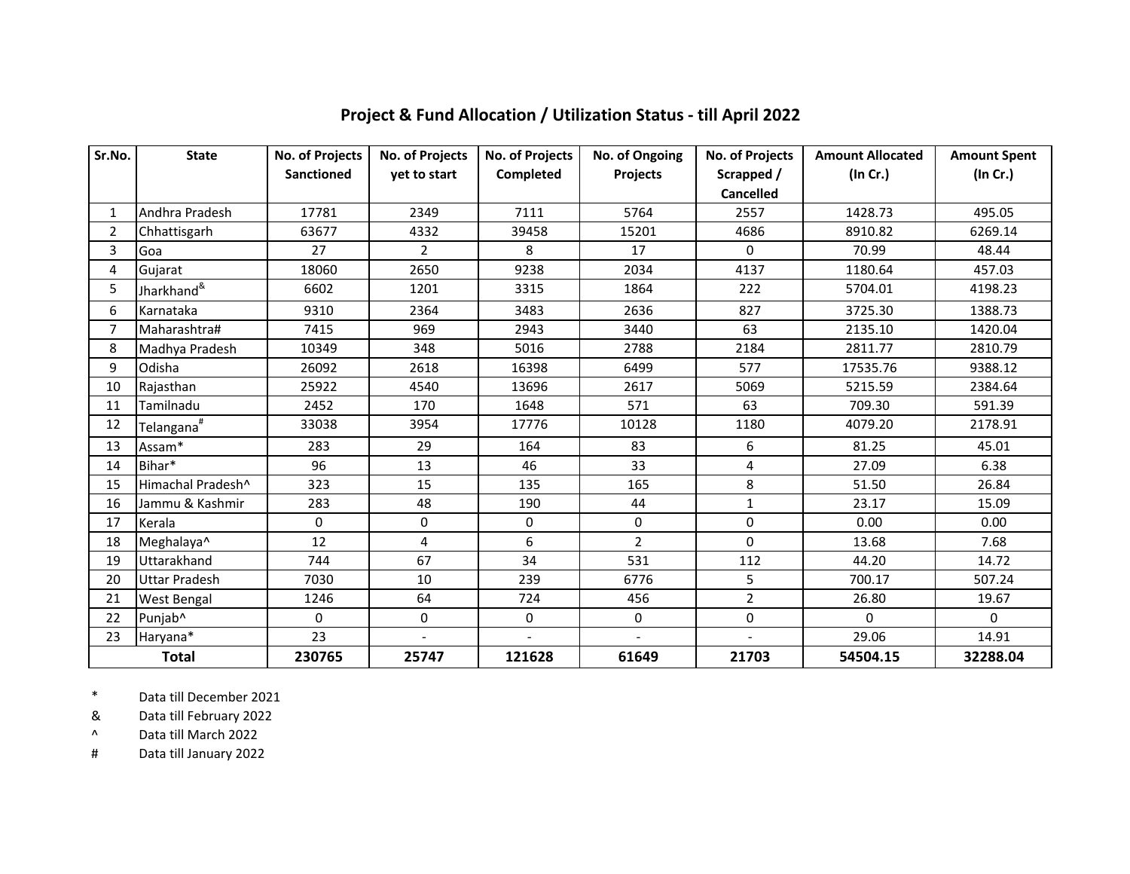| Sr.No.         | <b>State</b>               | No. of Projects   | No. of Projects | No. of Projects | No. of Ongoing | No. of Projects | <b>Amount Allocated</b> | <b>Amount Spent</b> |
|----------------|----------------------------|-------------------|-----------------|-----------------|----------------|-----------------|-------------------------|---------------------|
|                |                            | <b>Sanctioned</b> | yet to start    | Completed       | Projects       | Scrapped /      | (In Cr.)                | (In Cr.)            |
|                |                            |                   |                 |                 |                | Cancelled       |                         |                     |
| $\mathbf{1}$   | Andhra Pradesh             | 17781             | 2349            | 7111            | 5764           | 2557            | 1428.73                 | 495.05              |
| $\overline{2}$ | Chhattisgarh               | 63677             | 4332            | 39458           | 15201          | 4686            | 8910.82                 | 6269.14             |
| 3              | Goa                        | 27                | $\overline{2}$  | 8               | 17             | 0               | 70.99                   | 48.44               |
| 4              | Gujarat                    | 18060             | 2650            | 9238            | 2034           | 4137            | 1180.64                 | 457.03              |
| 5              | Jharkhand <sup>&amp;</sup> | 6602              | 1201            | 3315            | 1864           | 222             | 5704.01                 | 4198.23             |
| 6              | Karnataka                  | 9310              | 2364            | 3483            | 2636           | 827             | 3725.30                 | 1388.73             |
| 7              | Maharashtra#               | 7415              | 969             | 2943            | 3440           | 63              | 2135.10                 | 1420.04             |
| 8              | Madhya Pradesh             | 10349             | 348             | 5016            | 2788           | 2184            | 2811.77                 | 2810.79             |
| 9              | Odisha                     | 26092             | 2618            | 16398           | 6499           | 577             | 17535.76                | 9388.12             |
| 10             | Rajasthan                  | 25922             | 4540            | 13696           | 2617           | 5069            | 5215.59                 | 2384.64             |
| 11             | Tamilnadu                  | 2452              | 170             | 1648            | 571            | 63              | 709.30                  | 591.39              |
| 12             | Telangana <sup>#</sup>     | 33038             | 3954            | 17776           | 10128          | 1180            | 4079.20                 | 2178.91             |
| 13             | Assam*                     | 283               | 29              | 164             | 83             | 6               | 81.25                   | 45.01               |
| 14             | Bihar*                     | 96                | 13              | 46              | 33             | $\overline{4}$  | 27.09                   | 6.38                |
| 15             | Himachal Pradesh^          | 323               | 15              | 135             | 165            | 8               | 51.50                   | 26.84               |
| 16             | Jammu & Kashmir            | 283               | 48              | 190             | 44             | $\mathbf{1}$    | 23.17                   | 15.09               |
| 17             | Kerala                     | $\Omega$          | 0               | 0               | $\mathbf 0$    | 0               | 0.00                    | 0.00                |
| 18             | Meghalaya^                 | 12                | 4               | 6               | $\mathfrak{D}$ | $\Omega$        | 13.68                   | 7.68                |
| 19             | Uttarakhand                | 744               | 67              | 34              | 531            | 112             | 44.20                   | 14.72               |
| 20             | <b>Uttar Pradesh</b>       | 7030              | 10              | 239             | 6776           | 5               | 700.17                  | 507.24              |
| 21             | <b>West Bengal</b>         | 1246              | 64              | 724             | 456            | $\overline{2}$  | 26.80                   | 19.67               |
| 22             | Punjab^                    | $\Omega$          | 0               | 0               | 0              | 0               | $\Omega$                | $\Omega$            |
| 23             | Haryana*                   | 23                | $\blacksquare$  |                 | $\blacksquare$ | $\blacksquare$  | 29.06                   | 14.91               |
| <b>Total</b>   |                            | 230765            | 25747           | 121628          | 61649          | 21703           | 54504.15                | 32288.04            |

## **Project & Fund Allocation / Utilization Status - till April 2022**

\* Data till December 2021

& Data till February 2022

 $\boldsymbol{\wedge}$ Data till March 2022

# Data till January 2022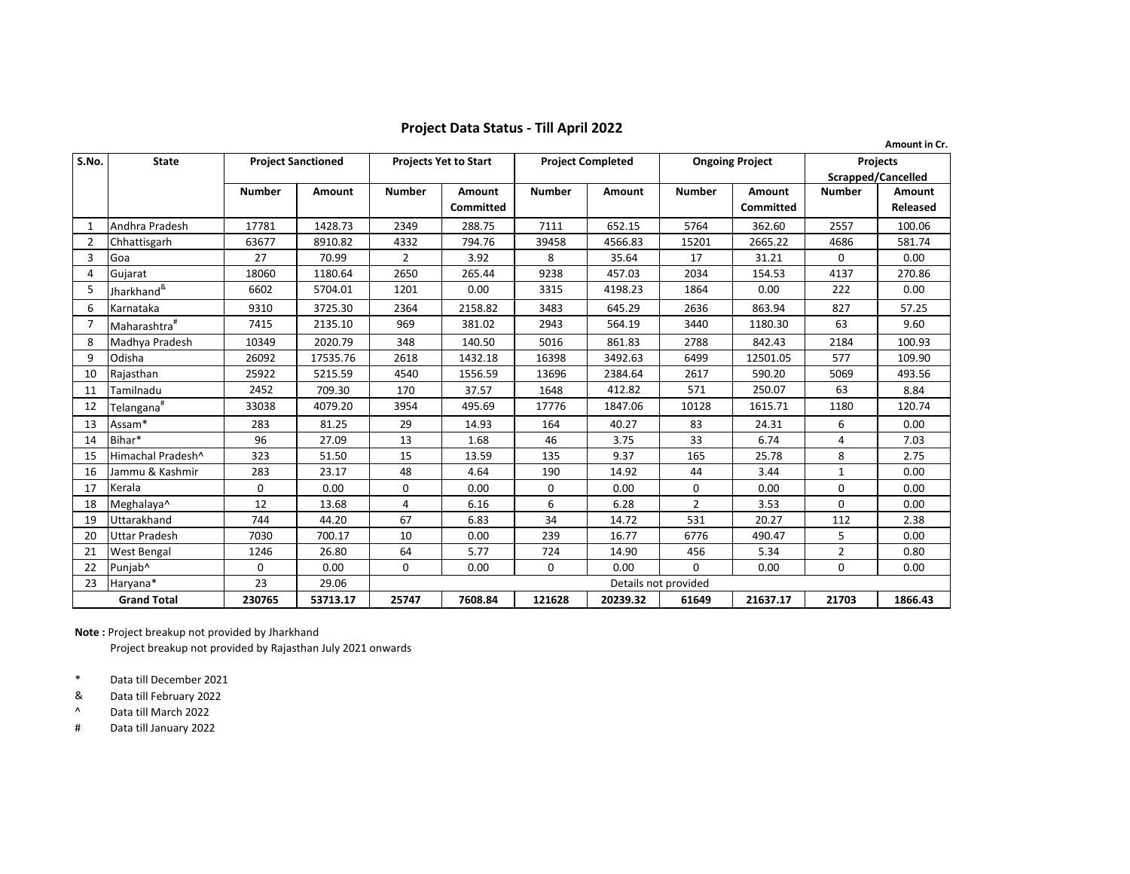## **Project Data Status - Till April 2022**

|                | Amount in Cr.              |                           |               |                              |                  |                          |               |                        |                  |                    |                 |
|----------------|----------------------------|---------------------------|---------------|------------------------------|------------------|--------------------------|---------------|------------------------|------------------|--------------------|-----------------|
| S.No.          | <b>State</b>               | <b>Project Sanctioned</b> |               | <b>Projects Yet to Start</b> |                  | <b>Project Completed</b> |               | <b>Ongoing Project</b> |                  | <b>Projects</b>    |                 |
|                |                            |                           |               |                              |                  |                          |               |                        |                  | Scrapped/Cancelled |                 |
|                |                            | <b>Number</b>             | <b>Amount</b> | <b>Number</b>                | Amount           | <b>Number</b>            | <b>Amount</b> | <b>Number</b>          | Amount           | <b>Number</b>      | <b>Amount</b>   |
|                |                            |                           |               |                              | <b>Committed</b> |                          |               |                        | <b>Committed</b> |                    | <b>Released</b> |
| 1              | Andhra Pradesh             | 17781                     | 1428.73       | 2349                         | 288.75           | 7111                     | 652.15        | 5764                   | 362.60           | 2557               | 100.06          |
| $\overline{2}$ | Chhattisgarh               | 63677                     | 8910.82       | 4332                         | 794.76           | 39458                    | 4566.83       | 15201                  | 2665.22          | 4686               | 581.74          |
| 3              | Goa                        | 27                        | 70.99         | $\overline{2}$               | 3.92             | 8                        | 35.64         | 17                     | 31.21            | 0                  | 0.00            |
| 4              | Gujarat                    | 18060                     | 1180.64       | 2650                         | 265.44           | 9238                     | 457.03        | 2034                   | 154.53           | 4137               | 270.86          |
| 5              | Jharkhand <sup>&amp;</sup> | 6602                      | 5704.01       | 1201                         | 0.00             | 3315                     | 4198.23       | 1864                   | 0.00             | 222                | 0.00            |
| 6              | Karnataka                  | 9310                      | 3725.30       | 2364                         | 2158.82          | 3483                     | 645.29        | 2636                   | 863.94           | 827                | 57.25           |
| 7              | Maharashtra <sup>#</sup>   | 7415                      | 2135.10       | 969                          | 381.02           | 2943                     | 564.19        | 3440                   | 1180.30          | 63                 | 9.60            |
| 8              | Madhya Pradesh             | 10349                     | 2020.79       | 348                          | 140.50           | 5016                     | 861.83        | 2788                   | 842.43           | 2184               | 100.93          |
| 9              | Odisha                     | 26092                     | 17535.76      | 2618                         | 1432.18          | 16398                    | 3492.63       | 6499                   | 12501.05         | 577                | 109.90          |
| 10             | Rajasthan                  | 25922                     | 5215.59       | 4540                         | 1556.59          | 13696                    | 2384.64       | 2617                   | 590.20           | 5069               | 493.56          |
| 11             | Tamilnadu                  | 2452                      | 709.30        | 170                          | 37.57            | 1648                     | 412.82        | 571                    | 250.07           | 63                 | 8.84            |
| 12             | Telangana <sup>#</sup>     | 33038                     | 4079.20       | 3954                         | 495.69           | 17776                    | 1847.06       | 10128                  | 1615.71          | 1180               | 120.74          |
| 13             | Assam*                     | 283                       | 81.25         | 29                           | 14.93            | 164                      | 40.27         | 83                     | 24.31            | 6                  | 0.00            |
| 14             | Bihar*                     | 96                        | 27.09         | 13                           | 1.68             | 46                       | 3.75          | 33                     | 6.74             | 4                  | 7.03            |
| 15             | Himachal Pradesh^          | 323                       | 51.50         | 15                           | 13.59            | 135                      | 9.37          | 165                    | 25.78            | 8                  | 2.75            |
| 16             | Jammu & Kashmir            | 283                       | 23.17         | 48                           | 4.64             | 190                      | 14.92         | 44                     | 3.44             | $\mathbf{1}$       | 0.00            |
| 17             | Kerala                     | 0                         | 0.00          | 0                            | 0.00             | $\Omega$                 | 0.00          | 0                      | 0.00             | 0                  | 0.00            |
| 18             | Meghalaya^                 | 12                        | 13.68         | 4                            | 6.16             | 6                        | 6.28          | $\overline{2}$         | 3.53             | 0                  | 0.00            |
| 19             | Uttarakhand                | 744                       | 44.20         | 67                           | 6.83             | 34                       | 14.72         | 531                    | 20.27            | 112                | 2.38            |
| 20             | <b>Uttar Pradesh</b>       | 7030                      | 700.17        | 10                           | 0.00             | 239                      | 16.77         | 6776                   | 490.47           | 5                  | 0.00            |
| 21             | <b>West Bengal</b>         | 1246                      | 26.80         | 64                           | 5.77             | 724                      | 14.90         | 456                    | 5.34             | $\overline{2}$     | 0.80            |
| 22             | Punjab <sup>^</sup>        | 0                         | 0.00          | 0                            | 0.00             | 0                        | 0.00          | 0                      | 0.00             | 0                  | 0.00            |
| 23             | Haryana*                   | 23                        | 29.06         | Details not provided         |                  |                          |               |                        |                  |                    |                 |
|                | <b>Grand Total</b>         | 230765                    | 53713.17      | 25747                        | 7608.84          | 121628                   | 20239.32      | 61649                  | 21637.17         | 21703              | 1866.43         |

**Note :** Project breakup not provided by Jharkhand

Project breakup not provided by Rajasthan July 2021 onwards

\* Data till December 2021

& Data till February 2022

 $\boldsymbol{\wedge}$ Data till March 2022

# Data till January 2022